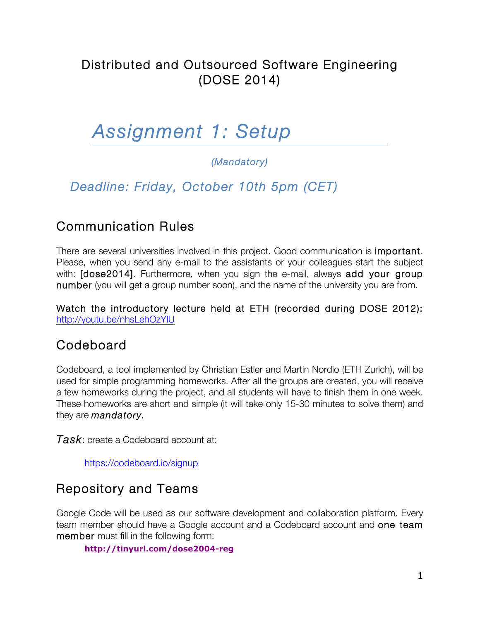## Distributed and Outsourced Software Engineering (DOSE 2014)

# *Assignment 1: Setup*

#### *(Mandatory)*

## *Deadline: Friday, October 10th 5pm (CET)*

## Communication Rules

There are several universities involved in this project. Good communication is important. Please, when you send any e-mail to the assistants or your colleagues start the subject with: [dose2014]. Furthermore, when you sign the e-mail, always add your group number (you will get a group number soon), and the name of the university you are from.

Watch the introductory lecture held at ETH (recorded during DOSE 2012): http://youtu.be/nhsLehOzYlU

#### Codeboard

Codeboard, a tool implemented by Christian Estler and Martin Nordio (ETH Zurich), will be used for simple programming homeworks. After all the groups are created, you will receive a few homeworks during the project, and all students will have to finish them in one week. These homeworks are short and simple (it will take only 15-30 minutes to solve them) and they are *mandatory.*

*Task*: create a Codeboard account at:

https://codeboard.io/signup

## Repository and Teams

Google Code will be used as our software development and collaboration platform. Every team member should have a Google account and a Codeboard account and **one team** member must fill in the following form:

**http://tinyurl.com/dose2004-reg**